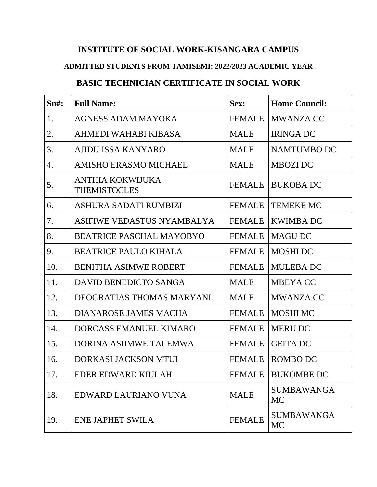## **INSTITUTE OF SOCIAL WORK-KISANGARA CAMPUS**

## **ADMITTED STUDENTS FROM TAMISEMI: 2022/2023 ACADEMIC YEAR**

## **BASIC TECHNICIAN CERTIFICATE IN SOCIAL WORK**

| $Sm#$ : | <b>Full Name:</b>                       | Sex:          | <b>Home Council:</b>    |
|---------|-----------------------------------------|---------------|-------------------------|
| 1.      | AGNESS ADAM MAYOKA                      | <b>FEMALE</b> | <b>MWANZA CC</b>        |
| 2.      | AHMEDI WAHABI KIBASA                    | <b>MALE</b>   | <b>IRINGA DC</b>        |
| 3.      | AJIDU ISSA KANYARO                      | <b>MALE</b>   | <b>NAMTUMBO DC</b>      |
| 4.      | <b>AMISHO ERASMO MICHAEL</b>            | <b>MALE</b>   | <b>MBOZI DC</b>         |
| 5.      | ANTHIA KOKWIJUKA<br><b>THEMISTOCLES</b> | <b>FEMALE</b> | <b>BUKOBA DC</b>        |
| 6.      | ASHURA SADATI RUMBIZI                   | <b>FEMALE</b> | <b>TEMEKE MC</b>        |
| 7.      | ASIFIWE VEDASTUS NYAMBALYA              | <b>FEMALE</b> | <b>KWIMBA DC</b>        |
| 8.      | <b>BEATRICE PASCHAL MAYOBYO</b>         | <b>FEMALE</b> | <b>MAGU DC</b>          |
| 9.      | <b>BEATRICE PAULO KIHALA</b>            | <b>FEMALE</b> | <b>MOSHI DC</b>         |
| 10.     | <b>BENITHA ASIMWE ROBERT</b>            | <b>FEMALE</b> | <b>MULEBA DC</b>        |
| 11.     | DAVID BENEDICTO SANGA                   | <b>MALE</b>   | <b>MBEYACC</b>          |
| 12.     | <b>DEOGRATIAS THOMAS MARYANI</b>        | <b>MALE</b>   | <b>MWANZA CC</b>        |
| 13.     | DIANAROSE JAMES MACHA                   | <b>FEMALE</b> | <b>MOSHI MC</b>         |
| 14.     | DORCASS EMANUEL KIMARO                  | <b>FEMALE</b> | <b>MERU DC</b>          |
| 15.     | DORINA ASIIMWE TALEMWA                  | <b>FEMALE</b> | <b>GEITA DC</b>         |
| 16.     | <b>DORKASI JACKSON MTUI</b>             | <b>FEMALE</b> | <b>ROMBO DC</b>         |
| 17.     | EDER EDWARD KIULAH                      | <b>FEMALE</b> | <b>BUKOMBE DC</b>       |
| 18.     | EDWARD LAURIANO VUNA                    | <b>MALE</b>   | <b>SUMBAWANGA</b><br>MC |
| 19.     | ENE JAPHET SWILA                        | <b>FEMALE</b> | <b>SUMBAWANGA</b><br>MC |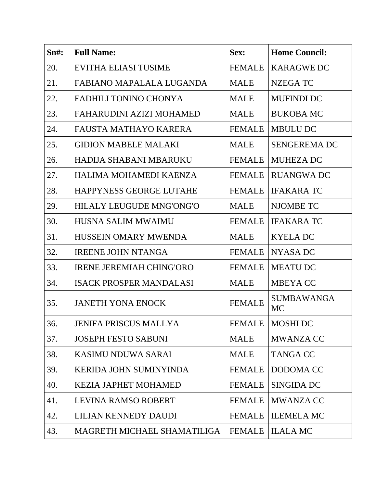| Sn#: | <b>Full Name:</b>               | Sex:          | <b>Home Council:</b>    |
|------|---------------------------------|---------------|-------------------------|
| 20.  | <b>EVITHA ELIASI TUSIME</b>     | <b>FEMALE</b> | <b>KARAGWE DC</b>       |
| 21.  | FABIANO MAPALALA LUGANDA        | <b>MALE</b>   | <b>NZEGATC</b>          |
| 22.  | <b>FADHILI TONINO CHONYA</b>    | MALE          | <b>MUFINDI DC</b>       |
| 23.  | FAHARUDINI AZIZI MOHAMED        | <b>MALE</b>   | <b>BUKOBA MC</b>        |
| 24.  | FAUSTA MATHAYO KARERA           | <b>FEMALE</b> | <b>MBULU DC</b>         |
| 25.  | <b>GIDION MABELE MALAKI</b>     | <b>MALE</b>   | <b>SENGEREMA DC</b>     |
| 26.  | HADIJA SHABANI MBARUKU          | <b>FEMALE</b> | <b>MUHEZA DC</b>        |
| 27.  | HALIMA MOHAMEDI KAENZA          | <b>FEMALE</b> | <b>RUANGWA DC</b>       |
| 28.  | <b>HAPPYNESS GEORGE LUTAHE</b>  | <b>FEMALE</b> | <b>IFAKARA TC</b>       |
| 29.  | HILALY LEUGUDE MNG'ONG'O        | <b>MALE</b>   | <b>NJOMBE TC</b>        |
| 30.  | <b>HUSNA SALIM MWAIMU</b>       | <b>FEMALE</b> | <b>IFAKARA TC</b>       |
| 31.  | <b>HUSSEIN OMARY MWENDA</b>     | <b>MALE</b>   | <b>KYELADC</b>          |
| 32.  | <b>IREENE JOHN NTANGA</b>       | <b>FEMALE</b> | <b>NYASA DC</b>         |
| 33.  | <b>IRENE JEREMIAH CHING'ORO</b> | <b>FEMALE</b> | <b>MEATU DC</b>         |
| 34.  | <b>ISACK PROSPER MANDALASI</b>  | MALE          | <b>MBEYACC</b>          |
| 35.  | <b>JANETH YONA ENOCK</b>        | <b>FEMALE</b> | <b>SUMBAWANGA</b><br>MC |
| 36.  | <b>JENIFA PRISCUS MALLYA</b>    | <b>FEMALE</b> | <b>MOSHI DC</b>         |
| 37.  | <b>JOSEPH FESTO SABUNI</b>      | <b>MALE</b>   | <b>MWANZA CC</b>        |
| 38.  | <b>KASIMU NDUWA SARAI</b>       | <b>MALE</b>   | <b>TANGA CC</b>         |
| 39.  | <b>KERIDA JOHN SUMINYINDA</b>   | <b>FEMALE</b> | DODOMA CC               |
| 40.  | <b>KEZIA JAPHET MOHAMED</b>     | <b>FEMALE</b> | <b>SINGIDA DC</b>       |
| 41.  | LEVINA RAMSO ROBERT             | <b>FEMALE</b> | <b>MWANZA CC</b>        |
| 42.  | LILIAN KENNEDY DAUDI            | <b>FEMALE</b> | <b>ILEMELA MC</b>       |
| 43.  | MAGRETH MICHAEL SHAMATILIGA     | <b>FEMALE</b> | <b>ILALA MC</b>         |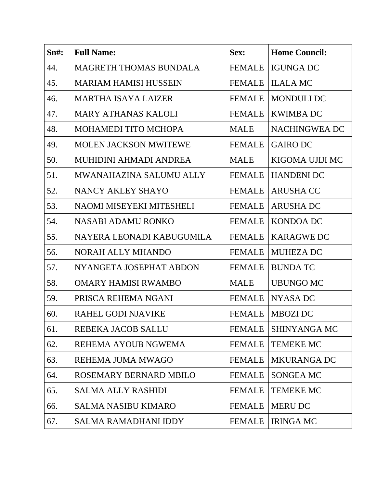| S <sub>n#</sub> : | <b>Full Name:</b>             | Sex:          | <b>Home Council:</b> |
|-------------------|-------------------------------|---------------|----------------------|
| 44.               | <b>MAGRETH THOMAS BUNDALA</b> | <b>FEMALE</b> | <b>IGUNGA DC</b>     |
| 45.               | <b>MARIAM HAMISI HUSSEIN</b>  | <b>FEMALE</b> | <b>ILALA MC</b>      |
| 46.               | <b>MARTHA ISAYA LAIZER</b>    | <b>FEMALE</b> | <b>MONDULI DC</b>    |
| 47.               | <b>MARY ATHANAS KALOLI</b>    | <b>FEMALE</b> | <b>KWIMBA DC</b>     |
| 48.               | MOHAMEDI TITO MCHOPA          | <b>MALE</b>   | <b>NACHINGWEA DC</b> |
| 49.               | <b>MOLEN JACKSON MWITEWE</b>  | <b>FEMALE</b> | <b>GAIRO DC</b>      |
| 50.               | MUHIDINI AHMADI ANDREA        | MALE          | KIGOMA UJIJI MC      |
| 51.               | MWANAHAZINA SALUMU ALLY       | <b>FEMALE</b> | <b>HANDENI DC</b>    |
| 52.               | NANCY AKLEY SHAYO             | <b>FEMALE</b> | <b>ARUSHA CC</b>     |
| 53.               | NAOMI MISEYEKI MITESHELI      | <b>FEMALE</b> | <b>ARUSHA DC</b>     |
| 54.               | <b>NASABI ADAMU RONKO</b>     | <b>FEMALE</b> | KONDOA DC            |
| 55.               | NAYERA LEONADI KABUGUMILA     | <b>FEMALE</b> | <b>KARAGWE DC</b>    |
| 56.               | NORAH ALLY MHANDO             | <b>FEMALE</b> | <b>MUHEZA DC</b>     |
| 57.               | NYANGETA JOSEPHAT ABDON       | <b>FEMALE</b> | <b>BUNDA TC</b>      |
| 58.               | <b>OMARY HAMISI RWAMBO</b>    | <b>MALE</b>   | <b>UBUNGO MC</b>     |
| 59.               | PRISCA REHEMA NGANI           | <b>FEMALE</b> | NYASA DC             |
| 60.               | RAHEL GODI NJAVIKE            | <b>FEMALE</b> | <b>MBOZI DC</b>      |
| 61.               | REBEKA JACOB SALLU            | <b>FEMALE</b> | <b>SHINYANGA MC</b>  |
| 62.               | REHEMA AYOUB NGWEMA           | <b>FEMALE</b> | <b>TEMEKE MC</b>     |
| 63.               | REHEMA JUMA MWAGO             | <b>FEMALE</b> | <b>MKURANGA DC</b>   |
| 64.               | ROSEMARY BERNARD MBILO        | <b>FEMALE</b> | <b>SONGEA MC</b>     |
| 65.               | <b>SALMA ALLY RASHIDI</b>     | <b>FEMALE</b> | <b>TEMEKE MC</b>     |
| 66.               | <b>SALMA NASIBU KIMARO</b>    | <b>FEMALE</b> | <b>MERU DC</b>       |
| 67.               | <b>SALMA RAMADHANI IDDY</b>   | <b>FEMALE</b> | <b>IRINGA MC</b>     |